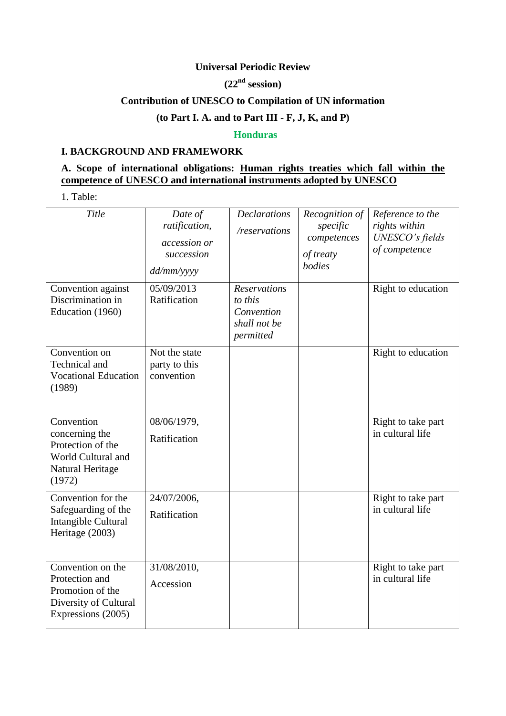#### **Universal Periodic Review**

# **(22nd session)**

### **Contribution of UNESCO to Compilation of UN information**

# **(to Part I. A. and to Part III - F, J, K, and P)**

#### **Honduras**

### **I. BACKGROUND AND FRAMEWORK**

## **A. Scope of international obligations: Human rights treaties which fall within the competence of UNESCO and international instruments adopted by UNESCO**

1. Table:

| Title                                                                                                  | Date of<br>ratification,<br>accession or<br>succession<br>dd/mm/yyyy | <b>Declarations</b><br>/reservations                                      | Recognition of<br>specific<br>competences<br>of treaty<br>bodies | Reference to the<br>rights within<br>UNESCO's fields<br>of competence |
|--------------------------------------------------------------------------------------------------------|----------------------------------------------------------------------|---------------------------------------------------------------------------|------------------------------------------------------------------|-----------------------------------------------------------------------|
| Convention against<br>Discrimination in<br>Education (1960)                                            | 05/09/2013<br>Ratification                                           | <b>Reservations</b><br>to this<br>Convention<br>shall not be<br>permitted |                                                                  | Right to education                                                    |
| Convention on<br>Technical and<br><b>Vocational Education</b><br>(1989)                                | Not the state<br>party to this<br>convention                         |                                                                           |                                                                  | Right to education                                                    |
| Convention<br>concerning the<br>Protection of the<br>World Cultural and<br>Natural Heritage<br>(1972)  | 08/06/1979,<br>Ratification                                          |                                                                           |                                                                  | Right to take part<br>in cultural life                                |
| Convention for the<br>Safeguarding of the<br>Intangible Cultural<br>Heritage (2003)                    | 24/07/2006,<br>Ratification                                          |                                                                           |                                                                  | Right to take part<br>in cultural life                                |
| Convention on the<br>Protection and<br>Promotion of the<br>Diversity of Cultural<br>Expressions (2005) | 31/08/2010,<br>Accession                                             |                                                                           |                                                                  | Right to take part<br>in cultural life                                |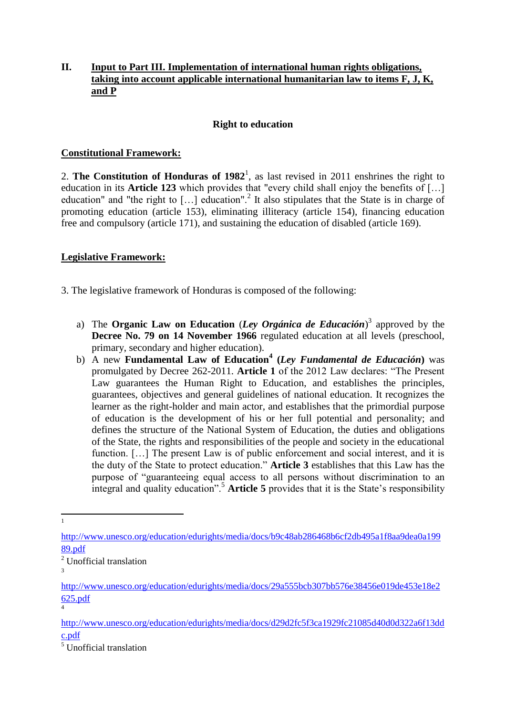### **II. Input to Part III. Implementation of international human rights obligations, taking into account applicable international humanitarian law to items F, J, K, and P**

### **Right to education**

### **Constitutional Framework:**

2. **The Constitution of Honduras of**  $1982<sup>1</sup>$ , as last revised in 2011 enshrines the right to education in its **Article 123** which provides that "every child shall enjoy the benefits of [...] education" and "the right to  $[...]$  education".<sup>2</sup> It also stipulates that the State is in charge of promoting education (article 153), eliminating illiteracy (article 154), financing education free and compulsory (article 171), and sustaining the education of disabled (article 169).

### **Legislative Framework:**

3. The legislative framework of Honduras is composed of the following:

- a) The **Organic Law on Education** (*Ley Orgánica de Educación*) 3 approved by the **Decree No. 79 on 14 November 1966** regulated education at all levels (preschool, primary, secondary and higher education).
- b) A new **Fundamental Law of Education<sup>4</sup> (***Ley Fundamental de Educación***)** was promulgated by Decree 262-2011. **Article 1** of the 2012 Law declares: "The Present Law guarantees the Human Right to Education, and establishes the principles, guarantees, objectives and general guidelines of national education. It recognizes the learner as the right-holder and main actor, and establishes that the primordial purpose of education is the development of his or her full potential and personality; and defines the structure of the National System of Education, the duties and obligations of the State, the rights and responsibilities of the people and society in the educational function. [...] The present Law is of public enforcement and social interest, and it is the duty of the State to protect education." **Article 3** establishes that this Law has the purpose of "guaranteeing equal access to all persons without discrimination to an integral and quality education".<sup>5</sup> **Article 5** provides that it is the State's responsibility

3

4

 $\frac{1}{1}$ 

[http://www.unesco.org/education/edurights/media/docs/b9c48ab286468b6cf2db495a1f8aa9dea0a199](http://www.unesco.org/education/edurights/media/docs/b9c48ab286468b6cf2db495a1f8aa9dea0a19989.pdf) [89.pdf](http://www.unesco.org/education/edurights/media/docs/b9c48ab286468b6cf2db495a1f8aa9dea0a19989.pdf)

<sup>2</sup> Unofficial translation

[http://www.unesco.org/education/edurights/media/docs/29a555bcb307bb576e38456e019de453e18e2](http://www.unesco.org/education/edurights/media/docs/29a555bcb307bb576e38456e019de453e18e2625.pdf) [625.pdf](http://www.unesco.org/education/edurights/media/docs/29a555bcb307bb576e38456e019de453e18e2625.pdf)

[http://www.unesco.org/education/edurights/media/docs/d29d2fc5f3ca1929fc21085d40d0d322a6f13dd](http://www.unesco.org/education/edurights/media/docs/d29d2fc5f3ca1929fc21085d40d0d322a6f13ddc.pdf) [c.pdf](http://www.unesco.org/education/edurights/media/docs/d29d2fc5f3ca1929fc21085d40d0d322a6f13ddc.pdf)

<sup>5</sup> Unofficial translation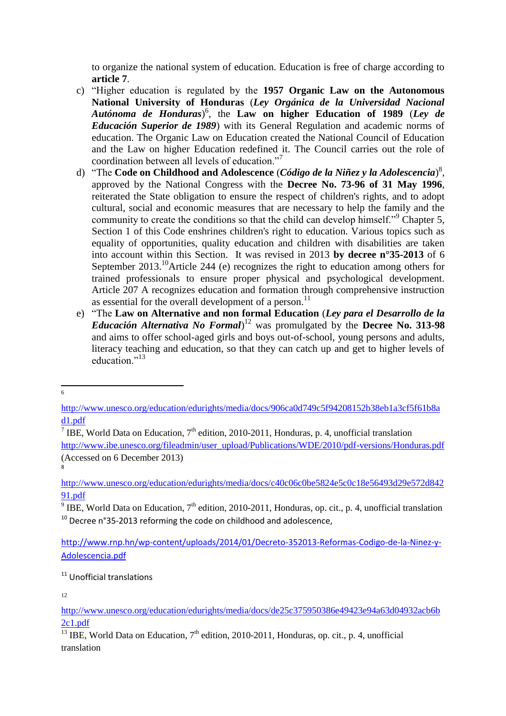to organize the national system of education. Education is free of charge according to **article 7**.

- c) "Higher education is regulated by the **1957 Organic Law on the Autonomous National University of Honduras** (*Ley Orgánica de la Universidad Nacional Autónoma de Honduras*) 6 , the **Law on higher Education of 1989** (*Ley de Educación Superior de 1989*) with its General Regulation and academic norms of education. The Organic Law on Education created the National Council of Education and the Law on higher Education redefined it. The Council carries out the role of coordination between all levels of education."<sup>7</sup>
- d) "The **Code on Childhood and Adolescence** (*Código de la Niñez y la Adolescencia*) 8 , approved by the National Congress with the **Decree No. 73-96 of 31 May 1996**, reiterated the State obligation to ensure the respect of children's rights, and to adopt cultural, social and economic measures that are necessary to help the family and the community to create the conditions so that the child can develop himself."<sup>9</sup> Chapter 5, Section 1 of this Code enshrines children's right to education. Various topics such as equality of opportunities, quality education and children with disabilities are taken into account within this Section. It was revised in 2013 **by decree n°35-2013** of 6 September 2013.<sup>10</sup>Article 244 (e) recognizes the right to education among others for trained professionals to ensure proper physical and psychological development. Article 207 A recognizes education and formation through comprehensive instruction as essential for the overall development of a person.<sup>11</sup>
- e) "The **Law on Alternative and non formal Education** (*Ley para el Desarrollo de la Educación Alternativa No Formal*) <sup>12</sup> was promulgated by the **Decree No. 313-98** and aims to offer school-aged girls and boys out-of-school, young persons and adults, literacy teaching and education, so that they can catch up and get to higher levels of education."<sup>13</sup>

 $\frac{1}{6}$ 

[http://www.ibe.unesco.org/fileadmin/user\\_upload/Publications/WDE/2010/pdf-versions/Honduras.pdf](http://www.ibe.unesco.org/fileadmin/user_upload/Publications/WDE/2010/pdf-versions/Honduras.pdf) (Accessed on 6 December 2013)

<sup>11</sup> Unofficial translations

12

[http://www.unesco.org/education/edurights/media/docs/906ca0d749c5f94208152b38eb1a3cf5f61b8a](http://www.unesco.org/education/edurights/media/docs/906ca0d749c5f94208152b38eb1a3cf5f61b8ad1.pdf) [d1.pdf](http://www.unesco.org/education/edurights/media/docs/906ca0d749c5f94208152b38eb1a3cf5f61b8ad1.pdf)

<sup>&</sup>lt;sup>7</sup> IBE, World Data on Education,  $7<sup>th</sup>$  edition, 2010-2011, Honduras, p. 4, unofficial translation

<sup>8</sup>

[http://www.unesco.org/education/edurights/media/docs/c40c06c0be5824e5c0c18e56493d29e572d842](http://www.unesco.org/education/edurights/media/docs/c40c06c0be5824e5c0c18e56493d29e572d84291.pdf) [91.pdf](http://www.unesco.org/education/edurights/media/docs/c40c06c0be5824e5c0c18e56493d29e572d84291.pdf)

<sup>&</sup>lt;sup>9</sup> IBE, World Data on Education, 7<sup>th</sup> edition, 2010-2011, Honduras, op. cit., p. 4, unofficial translation  $10$  Decree n°35-2013 reforming the code on childhood and adolescence,

[http://www.rnp.hn/wp-content/uploads/2014/01/Decreto-352013-Reformas-Codigo-de-la-Ninez-y-](http://www.rnp.hn/wp-content/uploads/2014/01/Decreto-352013-Reformas-Codigo-de-la-Ninez-y-Adolescencia.pdf)[Adolescencia.pdf](http://www.rnp.hn/wp-content/uploads/2014/01/Decreto-352013-Reformas-Codigo-de-la-Ninez-y-Adolescencia.pdf)

[http://www.unesco.org/education/edurights/media/docs/de25c375950386e49423e94a63d04932acb6b](http://www.unesco.org/education/edurights/media/docs/de25c375950386e49423e94a63d04932acb6b2c1.pdf) [2c1.pdf](http://www.unesco.org/education/edurights/media/docs/de25c375950386e49423e94a63d04932acb6b2c1.pdf)

<sup>&</sup>lt;sup>13</sup> IBE, World Data on Education,  $7<sup>th</sup>$  edition, 2010-2011, Honduras, op. cit., p. 4, unofficial translation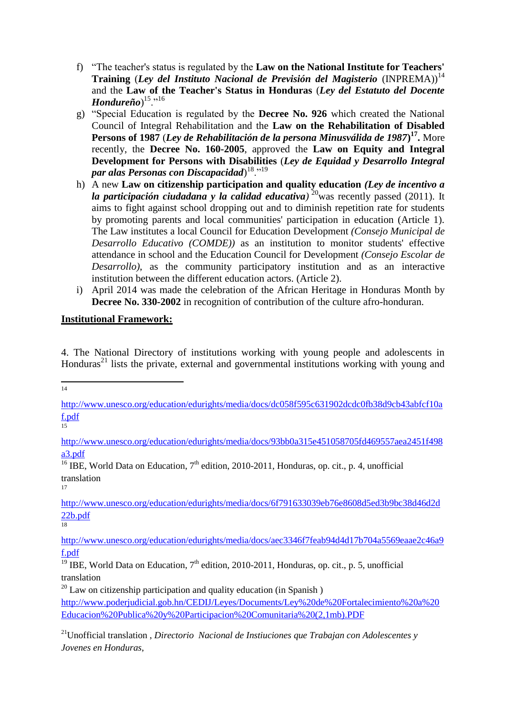- f) "The teacher's status is regulated by the **Law on the National Institute for Teachers' Training** (*Ley del Instituto Nacional de Previsión del Magisterio* (INPREMA))<sup>14</sup> and the **Law of the Teacher's Status in Honduras** (*Ley del Estatuto del Docente Hondureño*) <sup>15</sup>."<sup>16</sup>
- g) "Special Education is regulated by the **Decree No. 926** which created the National Council of Integral Rehabilitation and the **Law on the Rehabilitation of Disabled Persons of 1987** (*Ley de Rehabilitación de la persona Minusválida de 1987***) 17 .** More recently, the **Decree No. 160-2005**, approved the **Law on Equity and Integral Development for Persons with Disabilities** (*Ley de Equidad y Desarrollo Integral par alas Personas con Discapacidad*) <sup>18</sup>."<sup>19</sup>
- h) A new **Law on citizenship participation and quality education** *(Ley de incentivo a la participación ciudadana y la calidad educativa*)<sup>20</sup>was recently passed (2011). It aims to fight against school dropping out and to diminish repetition rate for students by promoting parents and local communities' participation in education (Article 1). The Law institutes a local Council for Education Development *(Consejo Municipal de Desarrollo Educativo (COMDE))* as an institution to monitor students' effective attendance in school and the Education Council for Development *(Consejo Escolar de Desarrollo)*, as the community participatory institution and as an interactive institution between the different education actors. (Article 2).
- i) April 2014 was made the celebration of the African Heritage in Honduras Month by **Decree No. 330-2002** in recognition of contribution of the culture afro-honduran.

### **Institutional Framework:**

4. The National Directory of institutions working with young people and adolescents in Honduras<sup>21</sup> lists the private, external and governmental institutions working with young and

 $\frac{1}{14}$ 

 $\frac{1}{15}$ 

[http://www.unesco.org/education/edurights/media/docs/93bb0a315e451058705fd469557aea2451f498](http://www.unesco.org/education/edurights/media/docs/93bb0a315e451058705fd469557aea2451f498a3.pdf) [a3.pdf](http://www.unesco.org/education/edurights/media/docs/93bb0a315e451058705fd469557aea2451f498a3.pdf)

<sup>16</sup> IBE, World Data on Education,  $7<sup>th</sup>$  edition, 2010-2011, Honduras, op. cit., p. 4, unofficial translation 17

[http://www.unesco.org/education/edurights/media/docs/6f791633039eb76e8608d5ed3b9bc38d46d2d](http://www.unesco.org/education/edurights/media/docs/6f791633039eb76e8608d5ed3b9bc38d46d2d22b.pdf) [22b.pdf](http://www.unesco.org/education/edurights/media/docs/6f791633039eb76e8608d5ed3b9bc38d46d2d22b.pdf)

18

[http://www.unesco.org/education/edurights/media/docs/aec3346f7feab94d4d17b704a5569eaae2c46a9](http://www.unesco.org/education/edurights/media/docs/aec3346f7feab94d4d17b704a5569eaae2c46a9f.pdf) [f.pdf](http://www.unesco.org/education/edurights/media/docs/aec3346f7feab94d4d17b704a5569eaae2c46a9f.pdf)

 $^{20}$  Law on citizenship participation and quality education (in Spanish) [http://www.poderjudicial.gob.hn/CEDIJ/Leyes/Documents/Ley%20de%20Fortalecimiento%20a%20](http://www.poderjudicial.gob.hn/CEDIJ/Leyes/Documents/Ley%20de%20Fortalecimiento%20a%20Educacion%20Publica%20y%20Participacion%20Comunitaria%20(2,1mb).PDF) [Educacion%20Publica%20y%20Participacion%20Comunitaria%20\(2,1mb\).PDF](http://www.poderjudicial.gob.hn/CEDIJ/Leyes/Documents/Ley%20de%20Fortalecimiento%20a%20Educacion%20Publica%20y%20Participacion%20Comunitaria%20(2,1mb).PDF)

[http://www.unesco.org/education/edurights/media/docs/dc058f595c631902dcdc0fb38d9cb43abfcf10a](http://www.unesco.org/education/edurights/media/docs/dc058f595c631902dcdc0fb38d9cb43abfcf10af.pdf) [f.pdf](http://www.unesco.org/education/edurights/media/docs/dc058f595c631902dcdc0fb38d9cb43abfcf10af.pdf)

<sup>&</sup>lt;sup>19</sup> IBE, World Data on Education,  $7<sup>th</sup>$  edition, 2010-2011, Honduras, op. cit., p. 5, unofficial translation

<sup>21</sup>Unofficial translation , *Directorio Nacional de Instiuciones que Trabajan con Adolescentes y Jovenes en Honduras*,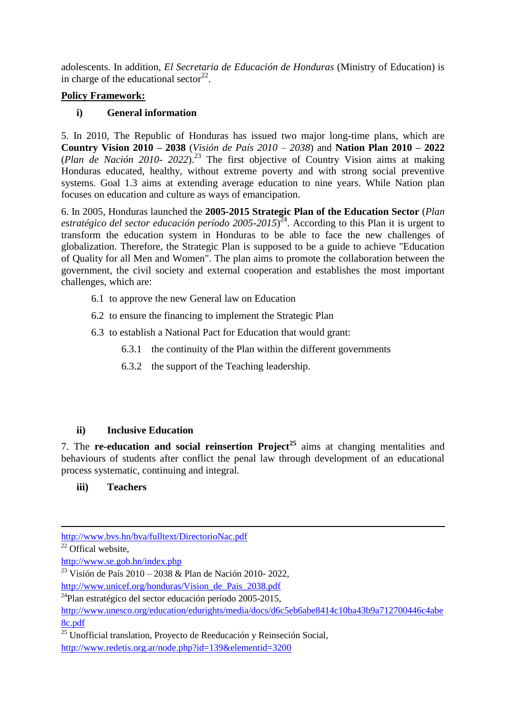adolescents. In addition, *El Secretaria de Educación de Honduras* (Ministry of Education) is in charge of the educational sector<sup>22</sup>.

## **Policy Framework:**

## **i) General information**

5. In 2010, The Republic of Honduras has issued two major long-time plans, which are **Country Vision 2010 – 2038** (*Visión de País 2010 – 2038*) and **Nation Plan 2010 – 2022** (*Plan de Nación 2010- 2022*).<sup>23</sup> The first objective of Country Vision aims at making Honduras educated, healthy, without extreme poverty and with strong social preventive systems. Goal 1.3 aims at extending average education to nine years. While Nation plan focuses on education and culture as ways of emancipation.

6. In 2005, Honduras launched the **2005-2015 Strategic Plan of the Education Sector** (*Plan estratégico del sector educación período 2005-2015*) <sup>24</sup>. According to this Plan it is urgent to transform the education system in Honduras to be able to face the new challenges of globalization. Therefore, the Strategic Plan is supposed to be a guide to achieve "Education of Quality for all Men and Women". The plan aims to promote the collaboration between the government, the civil society and external cooperation and establishes the most important challenges, which are:

- 6.1 to approve the new General law on Education
- 6.2 to ensure the financing to implement the Strategic Plan
- 6.3 to establish a National Pact for Education that would grant:
	- 6.3.1 the continuity of the Plan within the different governments
	- 6.3.2 the support of the Teaching leadership.

## **ii) Inclusive Education**

7. The **re-education and social reinsertion Project<sup>25</sup>** aims at changing mentalities and behaviours of students after conflict the penal law through development of an educational process systematic, continuing and integral.

## **iii) Teachers**

 $22$  Offical website,

<sup>23</sup> Visión de País 2010 – 2038 & Plan de Nación 2010- 2022,

<sup>1</sup> <http://www.bvs.hn/bva/fulltext/DirectorioNac.pdf>

<http://www.se.gob.hn/index.php>

[http://www.unicef.org/honduras/Vision\\_de\\_Pais\\_2038.pdf](http://www.unicef.org/honduras/Vision_de_Pais_2038.pdf)

<sup>24</sup>Plan estratégico del sector educación período 2005-2015,

[http://www.unesco.org/education/edurights/media/docs/d6c5eb6abe8414c10ba43b9a712700446c4abe](http://www.unesco.org/education/edurights/media/docs/d6c5eb6abe8414c10ba43b9a712700446c4abe8c.pdf) [8c.pdf](http://www.unesco.org/education/edurights/media/docs/d6c5eb6abe8414c10ba43b9a712700446c4abe8c.pdf)

 $\overline{\text{25}}$  Unofficial translation, Proyecto de Reeducación y Reinseción Social, <http://www.redetis.org.ar/node.php?id=139&elementid=3200>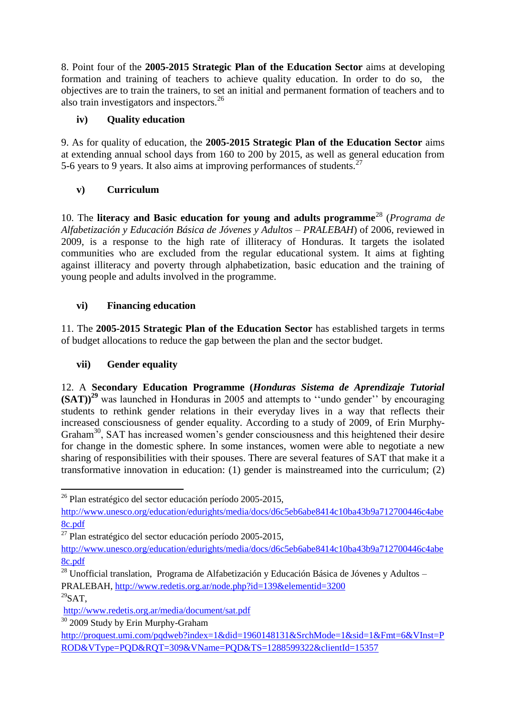8. Point four of the **2005-2015 Strategic Plan of the Education Sector** aims at developing formation and training of teachers to achieve quality education. In order to do so, the objectives are to train the trainers, to set an initial and permanent formation of teachers and to also train investigators and inspectors.<sup>26</sup>

## **iv) Quality education**

9. As for quality of education, the **2005-2015 Strategic Plan of the Education Sector** aims at extending annual school days from 160 to 200 by 2015, as well as general education from 5-6 years to 9 years. It also aims at improving performances of students.<sup>27</sup>

# **v) Curriculum**

10. The **literacy and Basic education for young and adults programme**<sup>28</sup> (*Programa de Alfabetización y Educación Básica de Jóvenes y Adultos – PRALEBAH*) of 2006, reviewed in 2009, is a response to the high rate of illiteracy of Honduras. It targets the isolated communities who are excluded from the regular educational system. It aims at fighting against illiteracy and poverty through alphabetization, basic education and the training of young people and adults involved in the programme.

# **vi) Financing education**

11. The **2005-2015 Strategic Plan of the Education Sector** has established targets in terms of budget allocations to reduce the gap between the plan and the sector budget.

# **vii) Gender equality**

12. A **Secondary Education Programme (***Honduras Sistema de Aprendizaje Tutorial* **(SAT))<sup>29</sup>** was launched in Honduras in 2005 and attempts to ''undo gender'' by encouraging students to rethink gender relations in their everyday lives in a way that reflects their increased consciousness of gender equality. According to a study of 2009, of Erin Murphy-Graham<sup>30</sup>, SAT has increased women's gender consciousness and this heightened their desire for change in the domestic sphere. In some instances, women were able to negotiate a new sharing of responsibilities with their spouses. There are several features of SAT that make it a transformative innovation in education: (1) gender is mainstreamed into the curriculum; (2)

**<sup>.</sup>**  $26$  Plan estratégico del sector educación período 2005-2015,

[http://www.unesco.org/education/edurights/media/docs/d6c5eb6abe8414c10ba43b9a712700446c4abe](http://www.unesco.org/education/edurights/media/docs/d6c5eb6abe8414c10ba43b9a712700446c4abe8c.pdf) [8c.pdf](http://www.unesco.org/education/edurights/media/docs/d6c5eb6abe8414c10ba43b9a712700446c4abe8c.pdf)

 $^{27}$  Plan estratégico del sector educación período 2005-2015,

[http://www.unesco.org/education/edurights/media/docs/d6c5eb6abe8414c10ba43b9a712700446c4abe](http://www.unesco.org/education/edurights/media/docs/d6c5eb6abe8414c10ba43b9a712700446c4abe8c.pdf) [8c.pdf](http://www.unesco.org/education/edurights/media/docs/d6c5eb6abe8414c10ba43b9a712700446c4abe8c.pdf)

 $28$  Unofficial translation, Programa de Alfabetización y Educación Básica de Jóvenes y Adultos – PRALEBAH,<http://www.redetis.org.ar/node.php?id=139&elementid=3200>

 $^{29}$ SAT.

<http://www.redetis.org.ar/media/document/sat.pdf>

<sup>&</sup>lt;sup>30</sup> 2009 Study by Erin Murphy-Graham

[http://proquest.umi.com/pqdweb?index=1&did=1960148131&SrchMode=1&sid=1&Fmt=6&VInst=P](http://proquest.umi.com/pqdweb?index=1&did=1960148131&SrchMode=1&sid=1&Fmt=6&VInst=PROD&VType=PQD&RQT=309&VName=PQD&TS=1288599322&clientId=15357) [ROD&VType=PQD&RQT=309&VName=PQD&TS=1288599322&clientId=15357](http://proquest.umi.com/pqdweb?index=1&did=1960148131&SrchMode=1&sid=1&Fmt=6&VInst=PROD&VType=PQD&RQT=309&VName=PQD&TS=1288599322&clientId=15357)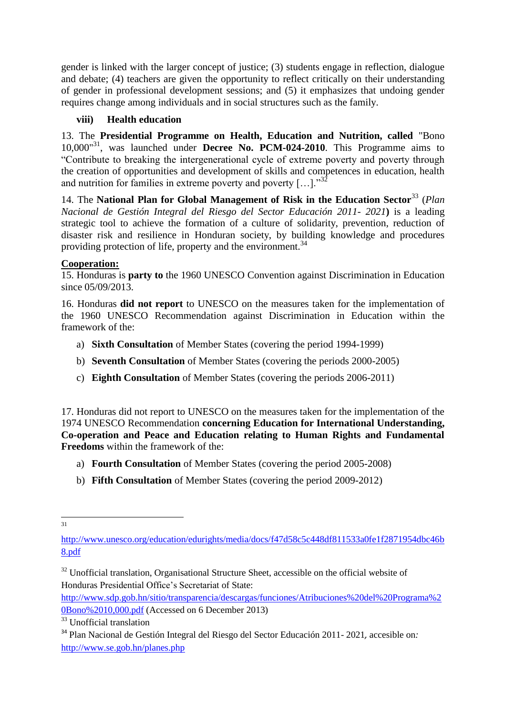gender is linked with the larger concept of justice; (3) students engage in reflection, dialogue and debate; (4) teachers are given the opportunity to reflect critically on their understanding of gender in professional development sessions; and (5) it emphasizes that undoing gender requires change among individuals and in social structures such as the family.

### **viii) Health education**

13. The **Presidential Programme on Health, Education and Nutrition, called** "Bono 10,000"<sup>31</sup> , was launched under **Decree No. PCM-024-2010**. This Programme aims to "Contribute to breaking the intergenerational cycle of extreme poverty and poverty through the creation of opportunities and development of skills and competences in education, health and nutrition for families in extreme poverty and poverty  $[\,\ldots\,]$ ."<sup>32</sup>

14. The **National Plan for Global Management of Risk in the Education Sector**<sup>33</sup> (*Plan Nacional de Gestión Integral del Riesgo del Sector Educación 2011- 2021***)** is a leading strategic tool to achieve the formation of a culture of solidarity, prevention, reduction of disaster risk and resilience in Honduran society, by building knowledge and procedures providing protection of life, property and the environment.<sup>34</sup>

### **Cooperation:**

15. Honduras is **party to** the 1960 UNESCO Convention against Discrimination in Education since 05/09/2013

16. Honduras **did not report** to UNESCO on the measures taken for the implementation of the 1960 UNESCO Recommendation against Discrimination in Education within the framework of the:

- a) **Sixth Consultation** of Member States (covering the period 1994-1999)
- b) **Seventh Consultation** of Member States (covering the periods 2000-2005)
- c) **Eighth Consultation** of Member States (covering the periods 2006-2011)

17. Honduras did not report to UNESCO on the measures taken for the implementation of the 1974 UNESCO Recommendation **concerning Education for International Understanding, Co-operation and Peace and Education relating to Human Rights and Fundamental Freedoms** within the framework of the:

- a) **Fourth Consultation** of Member States (covering the period 2005-2008)
- b) **Fifth Consultation** of Member States (covering the period 2009-2012)

 $\frac{1}{31}$ 

[http://www.unesco.org/education/edurights/media/docs/f47d58c5c448df811533a0fe1f2871954dbc46b](http://www.unesco.org/education/edurights/media/docs/f47d58c5c448df811533a0fe1f2871954dbc46b8.pdf) [8.pdf](http://www.unesco.org/education/edurights/media/docs/f47d58c5c448df811533a0fe1f2871954dbc46b8.pdf)

 $32$  Unofficial translation, Organisational Structure Sheet, accessible on the official website of Honduras Presidential Office's Secretariat of State:

[http://www.sdp.gob.hn/sitio/transparencia/descargas/funciones/Atribuciones%20del%20Programa%2](http://www.sdp.gob.hn/sitio/transparencia/descargas/funciones/Atribuciones%20del%20Programa%20Bono%2010,000.pdf) [0Bono%2010,000.pdf](http://www.sdp.gob.hn/sitio/transparencia/descargas/funciones/Atribuciones%20del%20Programa%20Bono%2010,000.pdf) (Accessed on 6 December 2013)

<sup>&</sup>lt;sup>33</sup> Unofficial translation

<sup>34</sup> Plan Nacional de Gestión Integral del Riesgo del Sector Educación 2011- 2021*,* accesible on*:*  <http://www.se.gob.hn/planes.php>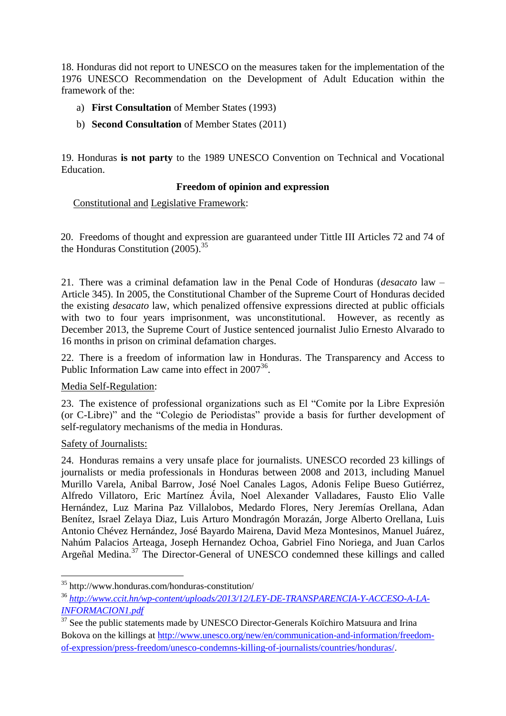18. Honduras did not report to UNESCO on the measures taken for the implementation of the 1976 UNESCO Recommendation on the Development of Adult Education within the framework of the:

- a) **First Consultation** of Member States (1993)
- b) **Second Consultation** of Member States (2011)

19. Honduras **is not party** to the 1989 UNESCO Convention on Technical and Vocational **Education** 

### **Freedom of opinion and expression**

Constitutional and Legislative Framework:

20. Freedoms of thought and expression are guaranteed under Tittle III Articles 72 and 74 of the Honduras Constitution (2005).<sup>35</sup>

21. There was a criminal defamation law in the Penal Code of Honduras (*desacato* law – Article 345). In 2005, the Constitutional Chamber of the Supreme Court of Honduras decided the existing *desacato* law, which penalized offensive expressions directed at public officials with two to four years imprisonment, was unconstitutional. However, as recently as December 2013, the Supreme Court of Justice sentenced journalist Julio Ernesto Alvarado to 16 months in prison on criminal defamation charges.

22. There is a freedom of information law in Honduras. The Transparency and Access to Public Information Law came into effect in  $2007^{36}$ .

### Media Self-Regulation:

23. The existence of professional organizations such as El "Comite por la Libre Expresión (or C-Libre)" and the "Colegio de Periodistas" provide a basis for further development of self-regulatory mechanisms of the media in Honduras.

### Safety of Journalists:

24. Honduras remains a very unsafe place for journalists. UNESCO recorded 23 killings of journalists or media professionals in Honduras between 2008 and 2013, including Manuel Murillo Varela, Anibal Barrow, José Noel Canales Lagos, Adonis Felipe Bueso Gutiérrez, Alfredo Villatoro, Eric Martínez Ávila, Noel Alexander Valladares, Fausto Elio Valle Hernández, Luz Marina Paz Villalobos, Medardo Flores, Nery Jeremías Orellana, Adan Benítez, Israel Zelaya Diaz, Luis Arturo Mondragón Morazán, Jorge Alberto Orellana, Luis Antonio Chévez Hernández, José Bayardo Mairena, David Meza Montesinos, Manuel Juárez, Nahúm Palacios Arteaga, Joseph Hernandez Ochoa, Gabriel Fino Noriega, and Juan Carlos Argeñal Medina.<sup>37</sup> The Director-General of UNESCO condemned these killings and called

**<sup>.</sup>** <sup>35</sup> http://www.honduras.com/honduras-constitution/

<sup>36</sup> *[http://www.ccit.hn/wp-content/uploads/2013/12/LEY-DE-TRANSPARENCIA-Y-ACCESO-A-LA-](http://www.ccit.hn/wp-content/uploads/2013/12/LEY-DE-TRANSPARENCIA-Y-ACCESO-A-LA-INFORMACION1.pdf)[INFORMACION1.pdf](http://www.ccit.hn/wp-content/uploads/2013/12/LEY-DE-TRANSPARENCIA-Y-ACCESO-A-LA-INFORMACION1.pdf)*

 $37$  See the public statements made by UNESCO Director-Generals Koïchiro Matsuura and Irina Bokova on the killings at [http://www.unesco.org/new/en/communication-and-information/freedom](http://www.unesco.org/new/en/communication-and-information/freedom-of-expression/press-freedom/unesco-condemns-killing-of-journalists/countries/honduras/)[of-expression/press-freedom/unesco-condemns-killing-of-journalists/countries/honduras/.](http://www.unesco.org/new/en/communication-and-information/freedom-of-expression/press-freedom/unesco-condemns-killing-of-journalists/countries/honduras/)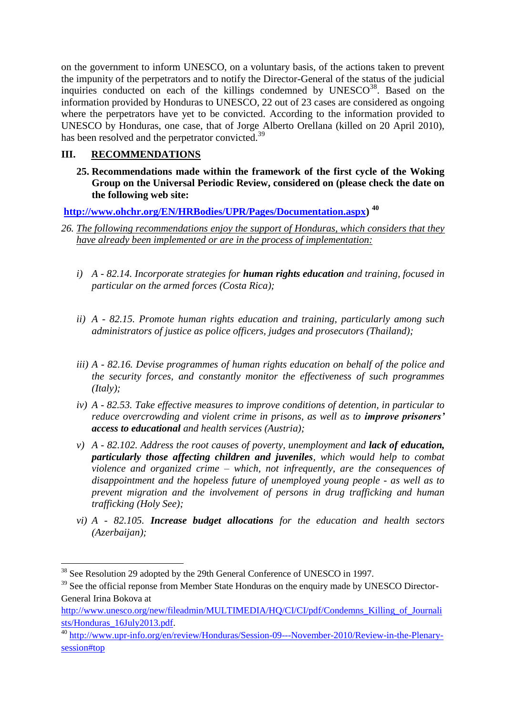on the government to inform UNESCO, on a voluntary basis, of the actions taken to prevent the impunity of the perpetrators and to notify the Director-General of the status of the judicial inquiries conducted on each of the killings condemned by  $UNESCO^{38}$ . Based on the information provided by Honduras to UNESCO, 22 out of 23 cases are considered as ongoing where the perpetrators have yet to be convicted. According to the information provided to UNESCO by Honduras, one case, that of Jorge Alberto Orellana (killed on 20 April 2010), has been resolved and the perpetrator convicted.<sup>39</sup>

### **III. RECOMMENDATIONS**

**25. Recommendations made within the framework of the first cycle of the Woking Group on the Universal Periodic Review, considered on (please check the date on the following web site:**

**[http://www.ohchr.org/EN/HRBodies/UPR/Pages/Documentation.aspx\)](http://www.ohchr.org/EN/HRBodies/UPR/Pages/Documentation.aspx) <sup>40</sup>**

- *26. The following recommendations enjoy the support of Honduras, which considers that they have already been implemented or are in the process of implementation:*
	- *i) A - 82.14. Incorporate strategies for human rights education and training, focused in particular on the armed forces (Costa Rica);*
	- *ii) A - 82.15. Promote human rights education and training, particularly among such administrators of justice as police officers, judges and prosecutors (Thailand);*
	- *iii) A - 82.16. Devise programmes of human rights education on behalf of the police and the security forces, and constantly monitor the effectiveness of such programmes (Italy);*
	- *iv) A - 82.53. Take effective measures to improve conditions of detention, in particular to reduce overcrowding and violent crime in prisons, as well as to <i>improve prisoners' access to educational and health services (Austria);*
	- *v) A - 82.102. Address the root causes of poverty, unemployment and lack of education, particularly those affecting children and juveniles, which would help to combat violence and organized crime – which, not infrequently, are the consequences of disappointment and the hopeless future of unemployed young people - as well as to prevent migration and the involvement of persons in drug trafficking and human trafficking (Holy See);*
	- *vi) A - 82.105. Increase budget allocations for the education and health sectors (Azerbaijan);*

**<sup>.</sup>** <sup>38</sup> See Resolution 29 adopted by the 29th General Conference of UNESCO in 1997.

<sup>&</sup>lt;sup>39</sup> See the official reponse from Member State Honduras on the enquiry made by UNESCO Director-General Irina Bokova at

[http://www.unesco.org/new/fileadmin/MULTIMEDIA/HQ/CI/CI/pdf/Condemns\\_Killing\\_of\\_Journali](http://www.unesco.org/new/fileadmin/MULTIMEDIA/HQ/CI/CI/pdf/Condemns_Killing_of_Journalists/Honduras_16July2013.pdf) [sts/Honduras\\_16July2013.pdf.](http://www.unesco.org/new/fileadmin/MULTIMEDIA/HQ/CI/CI/pdf/Condemns_Killing_of_Journalists/Honduras_16July2013.pdf)

<sup>40</sup> [http://www.upr-info.org/en/review/Honduras/Session-09---November-2010/Review-in-the-Plenary](http://www.upr-info.org/en/review/Honduras/Session-09---November-2010/Review-in-the-Plenary-session#top)[session#top](http://www.upr-info.org/en/review/Honduras/Session-09---November-2010/Review-in-the-Plenary-session#top)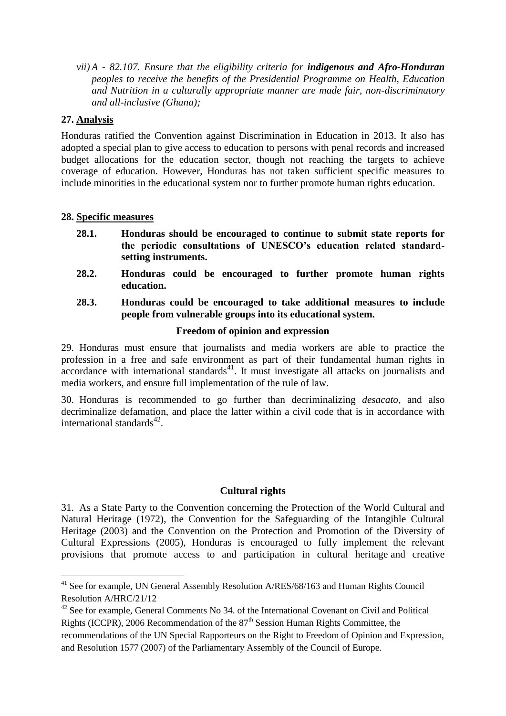*vii) A - 82.107. Ensure that the eligibility criteria for indigenous and Afro-Honduran peoples to receive the benefits of the Presidential Programme on Health, Education and Nutrition in a culturally appropriate manner are made fair, non-discriminatory and all-inclusive (Ghana);*

### **27. Analysis**

**.** 

Honduras ratified the Convention against Discrimination in Education in 2013. It also has adopted a special plan to give access to education to persons with penal records and increased budget allocations for the education sector, though not reaching the targets to achieve coverage of education. However, Honduras has not taken sufficient specific measures to include minorities in the educational system nor to further promote human rights education.

#### **28. Specific measures**

- **28.1. Honduras should be encouraged to continue to submit state reports for the periodic consultations of UNESCO's education related standardsetting instruments.**
- **28.2. Honduras could be encouraged to further promote human rights education.**
- **28.3. Honduras could be encouraged to take additional measures to include people from vulnerable groups into its educational system.**

#### **Freedom of opinion and expression**

29. Honduras must ensure that journalists and media workers are able to practice the profession in a free and safe environment as part of their fundamental human rights in  $\frac{1}{2}$  accordance with international standards<sup>41</sup>. It must investigate all attacks on journalists and media workers, and ensure full implementation of the rule of law.

30. Honduras is recommended to go further than decriminalizing *desacato*, and also decriminalize defamation, and place the latter within a civil code that is in accordance with international standards<sup>42</sup>.

### **Cultural rights**

31. As a State Party to the Convention concerning the Protection of the World Cultural and Natural Heritage (1972), the Convention for the Safeguarding of the Intangible Cultural Heritage (2003) and the Convention on the Protection and Promotion of the Diversity of Cultural Expressions (2005), Honduras is encouraged to fully implement the relevant provisions that promote access to and participation in cultural heritage and creative

 $41$  See for example, UN General Assembly Resolution A/RES/68/163 and Human Rights Council Resolution A/HRC/21/12

 $42$  See for example, General Comments No 34. of the International Covenant on Civil and Political Rights (ICCPR), 2006 Recommendation of the  $87<sup>th</sup>$  Session Human Rights Committee, the recommendations of the UN Special Rapporteurs on the Right to Freedom of Opinion and Expression, and Resolution 1577 (2007) of the Parliamentary Assembly of the Council of Europe.